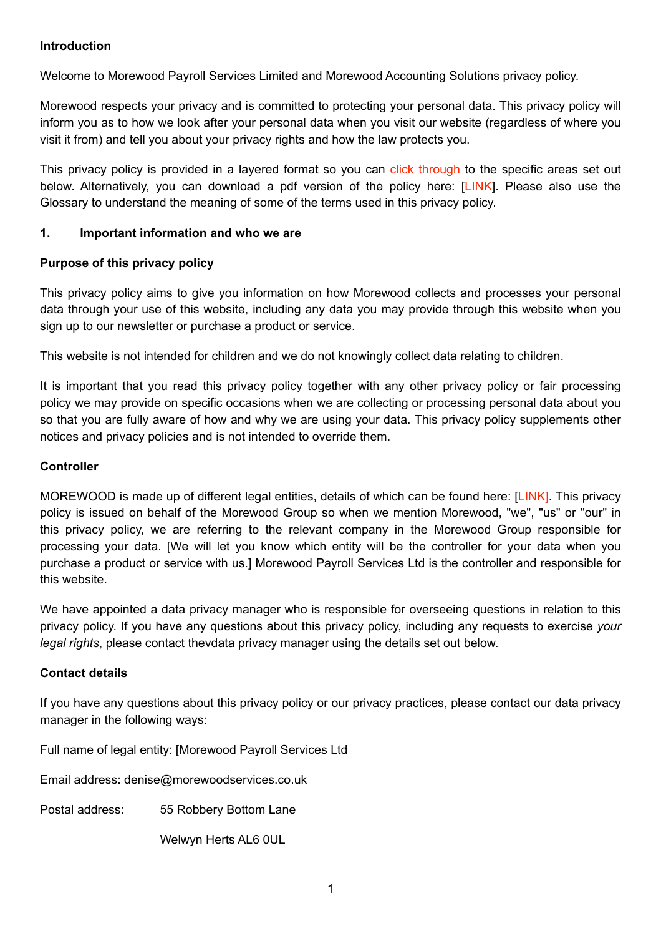## **Introduction**

Welcome to Morewood Payroll Services Limited and Morewood Accounting Solutions privacy policy.

Morewood respects your privacy and is committed to protecting your personal data. This privacy policy will inform you as to how we look after your personal data when you visit our website (regardless of where you visit it from) and tell you about your privacy rights and how the law protects you.

This privacy policy is provided in a layered format so you can click through to the specific areas set out below. Alternatively, you can download a pdf version of the policy here: [LINK]. Please also use the Glossary to understand the meaning of some of the terms used in this privacy policy.

### **1. Important information and who we are**

### **Purpose of this privacy policy**

This privacy policy aims to give you information on how Morewood collects and processes your personal data through your use of this website, including any data you may provide through this website when you sign up to our newsletter or purchase a product or service.

This website is not intended for children and we do not knowingly collect data relating to children.

It is important that you read this privacy policy together with any other privacy policy or fair processing policy we may provide on specific occasions when we are collecting or processing personal data about you so that you are fully aware of how and why we are using your data. This privacy policy supplements other notices and privacy policies and is not intended to override them.

#### **Controller**

MOREWOOD is made up of different legal entities, details of which can be found here: [LINK]. This privacy policy is issued on behalf of the Morewood Group so when we mention Morewood, "we", "us" or "our" in this privacy policy, we are referring to the relevant company in the Morewood Group responsible for processing your data. [We will let you know which entity will be the controller for your data when you purchase a product or service with us.] Morewood Payroll Services Ltd is the controller and responsible for this website.

We have appointed a data privacy manager who is responsible for overseeing questions in relation to this privacy policy. If you have any questions about this privacy policy, including any requests to exercise *your legal rights*, please contact thevdata privacy manager using the details set out below.

### **Contact details**

If you have any questions about this privacy policy or our privacy practices, please contact our data privacy manager in the following ways:

Full name of legal entity: [Morewood Payroll Services Ltd

Email address: denise@morewoodservices.co.uk

Postal address: 55 Robbery Bottom Lane

Welwyn Herts AL6 0UL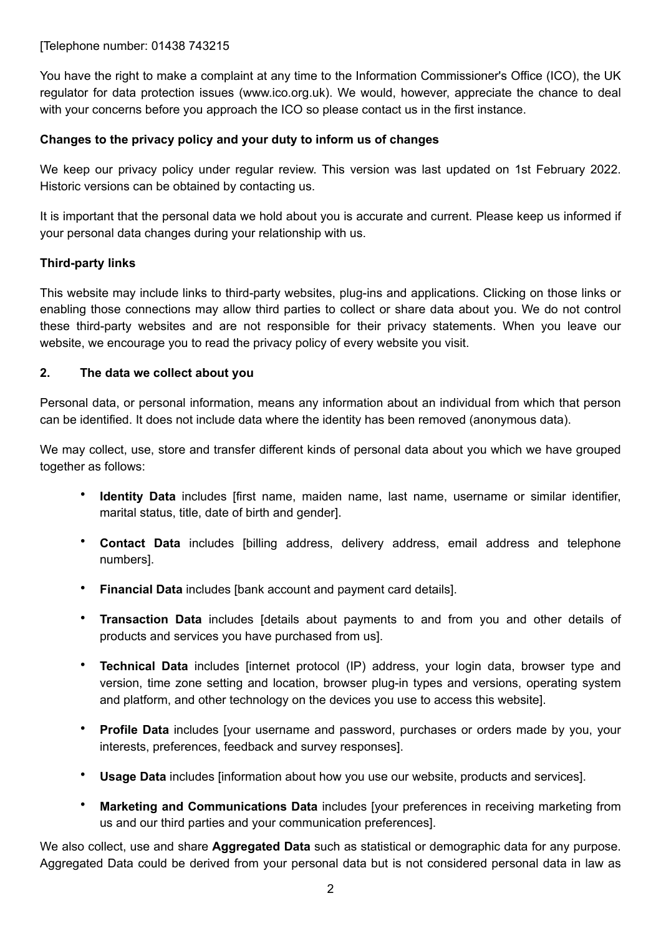[Telephone number: 01438 743215

You have the right to make a complaint at any time to the Information Commissioner's Office (ICO), the UK regulator for data protection issues (www.ico.org.uk). We would, however, appreciate the chance to deal with your concerns before you approach the ICO so please contact us in the first instance.

## **Changes to the privacy policy and your duty to inform us of changes**

We keep our privacy policy under regular review. This version was last updated on 1st February 2022. Historic versions can be obtained by contacting us.

It is important that the personal data we hold about you is accurate and current. Please keep us informed if your personal data changes during your relationship with us.

## **Third-party links**

This website may include links to third-party websites, plug-ins and applications. Clicking on those links or enabling those connections may allow third parties to collect or share data about you. We do not control these third-party websites and are not responsible for their privacy statements. When you leave our website, we encourage you to read the privacy policy of every website you visit.

## **2. The data we collect about you**

Personal data, or personal information, means any information about an individual from which that person can be identified. It does not include data where the identity has been removed (anonymous data).

We may collect, use, store and transfer different kinds of personal data about you which we have grouped together as follows:

- **Identity Data** includes [first name, maiden name, last name, username or similar identifier, marital status, title, date of birth and gender].
- **Contact Data** includes [billing address, delivery address, email address and telephone numbers].
- **Financial Data** includes [bank account and payment card details].
- **Transaction Data** includes [details about payments to and from you and other details of products and services you have purchased from us].
- **Technical Data** includes [internet protocol (IP) address, your login data, browser type and version, time zone setting and location, browser plug-in types and versions, operating system and platform, and other technology on the devices you use to access this website].
- **Profile Data** includes [your username and password, purchases or orders made by you, your interests, preferences, feedback and survey responses].
- **Usage Data** includes [information about how you use our website, products and services].
- **Marketing and Communications Data** includes [your preferences in receiving marketing from us and our third parties and your communication preferences].

We also collect, use and share **Aggregated Data** such as statistical or demographic data for any purpose. Aggregated Data could be derived from your personal data but is not considered personal data in law as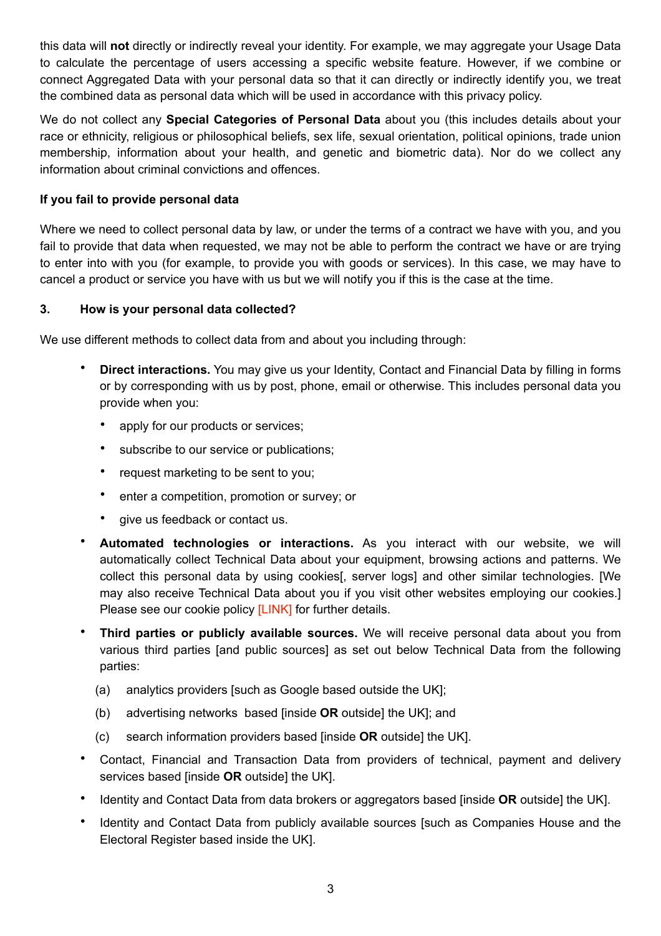this data will **not** directly or indirectly reveal your identity. For example, we may aggregate your Usage Data to calculate the percentage of users accessing a specific website feature. However, if we combine or connect Aggregated Data with your personal data so that it can directly or indirectly identify you, we treat the combined data as personal data which will be used in accordance with this privacy policy.

We do not collect any **Special Categories of Personal Data** about you (this includes details about your race or ethnicity, religious or philosophical beliefs, sex life, sexual orientation, political opinions, trade union membership, information about your health, and genetic and biometric data). Nor do we collect any information about criminal convictions and offences.

## **If you fail to provide personal data**

Where we need to collect personal data by law, or under the terms of a contract we have with you, and you fail to provide that data when requested, we may not be able to perform the contract we have or are trying to enter into with you (for example, to provide you with goods or services). In this case, we may have to cancel a product or service you have with us but we will notify you if this is the case at the time.

## **3. How is your personal data collected?**

We use different methods to collect data from and about you including through:

- **Direct interactions.** You may give us your Identity, Contact and Financial Data by filling in forms or by corresponding with us by post, phone, email or otherwise. This includes personal data you provide when you:
	- apply for our products or services;
	- subscribe to our service or publications;
	- request marketing to be sent to you;
	- enter a competition, promotion or survey; or
	- give us feedback or contact us.
- **Automated technologies or interactions.** As you interact with our website, we will automatically collect Technical Data about your equipment, browsing actions and patterns. We collect this personal data by using cookies[, server logs] and other similar technologies. [We may also receive Technical Data about you if you visit other websites employing our cookies.] Please see our cookie policy [LINK] for further details.
- **Third parties or publicly available sources.** We will receive personal data about you from various third parties [and public sources] as set out below Technical Data from the following parties:
	- (a) analytics providers [such as Google based outside the UK];
	- (b) advertising networks based [inside **OR** outside] the UK]; and
	- (c) search information providers based [inside **OR** outside] the UK].
- Contact, Financial and Transaction Data from providers of technical, payment and delivery services based [inside **OR** outside] the UK].
- Identity and Contact Data from data brokers or aggregators based [inside **OR** outside] the UK].
- Identity and Contact Data from publicly available sources [such as Companies House and the Electoral Register based inside the UK].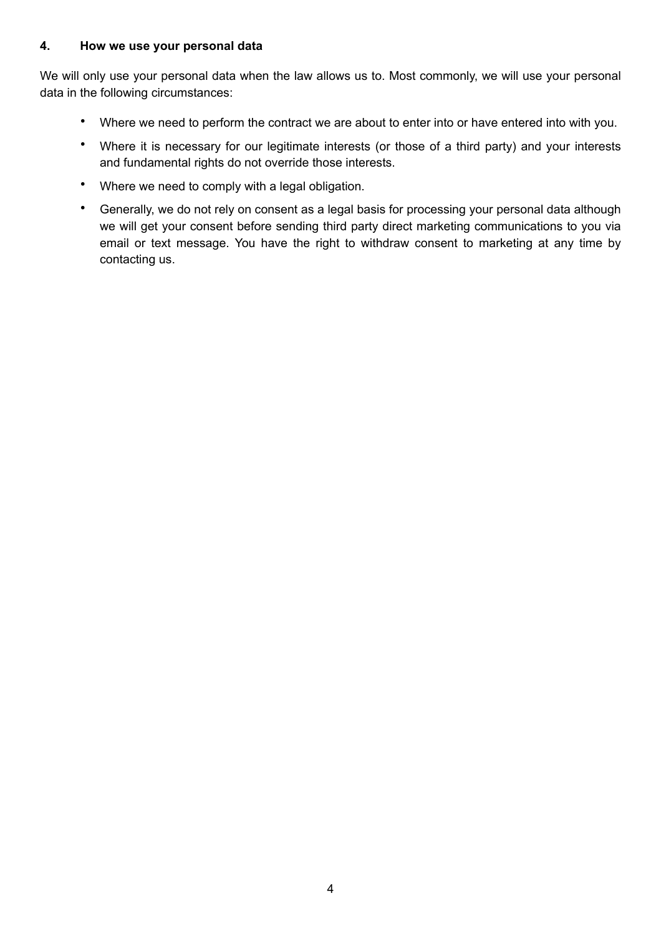### **4. How we use your personal data**

We will only use your personal data when the law allows us to. Most commonly, we will use your personal data in the following circumstances:

- Where we need to perform the contract we are about to enter into or have entered into with you.
- Where it is necessary for our legitimate interests (or those of a third party) and your interests and fundamental rights do not override those interests.
- Where we need to comply with a legal obligation.
- Generally, we do not rely on consent as a legal basis for processing your personal data although we will get your consent before sending third party direct marketing communications to you via email or text message. You have the right to withdraw consent to marketing at any time by contacting us.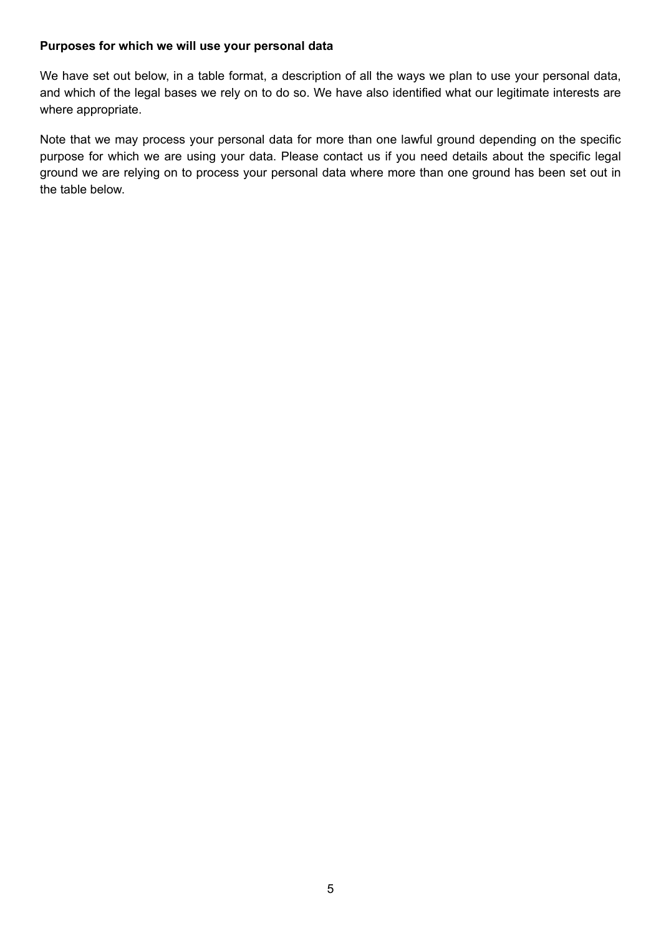### **Purposes for which we will use your personal data**

We have set out below, in a table format, a description of all the ways we plan to use your personal data, and which of the legal bases we rely on to do so. We have also identified what our legitimate interests are where appropriate.

Note that we may process your personal data for more than one lawful ground depending on the specific purpose for which we are using your data. Please contact us if you need details about the specific legal ground we are relying on to process your personal data where more than one ground has been set out in the table below.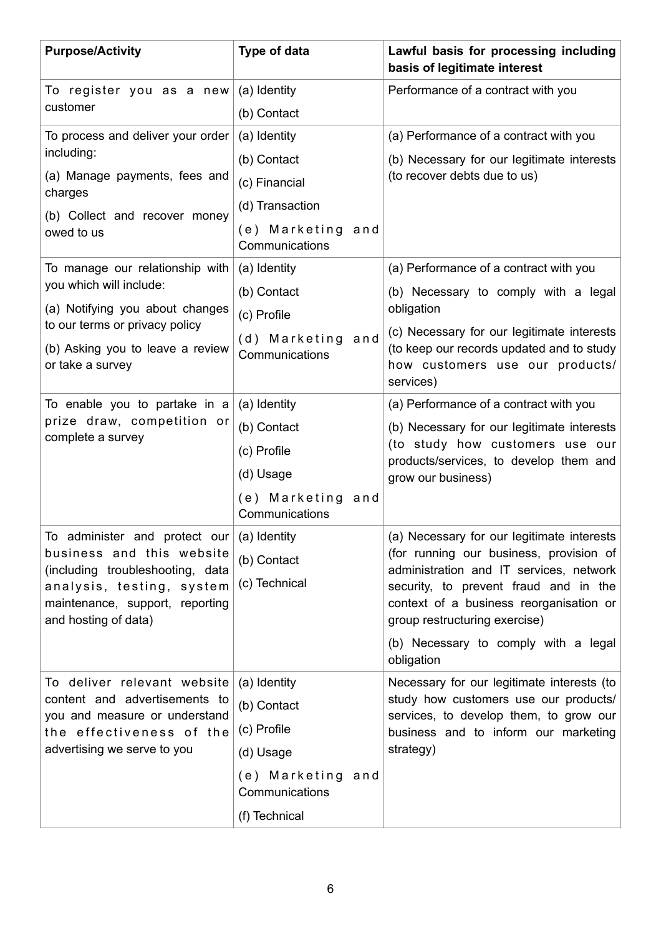| <b>Purpose/Activity</b>                                                                                                                                                                                     | Type of data                        | Lawful basis for processing including<br>basis of legitimate interest                                                                                                                                                                                 |
|-------------------------------------------------------------------------------------------------------------------------------------------------------------------------------------------------------------|-------------------------------------|-------------------------------------------------------------------------------------------------------------------------------------------------------------------------------------------------------------------------------------------------------|
| To register you as a new<br>customer                                                                                                                                                                        | (a) Identity                        | Performance of a contract with you                                                                                                                                                                                                                    |
|                                                                                                                                                                                                             | (b) Contact                         |                                                                                                                                                                                                                                                       |
| To process and deliver your order<br>including:                                                                                                                                                             | (a) Identity                        | (a) Performance of a contract with you                                                                                                                                                                                                                |
|                                                                                                                                                                                                             | (b) Contact                         | (b) Necessary for our legitimate interests                                                                                                                                                                                                            |
| (a) Manage payments, fees and<br>charges                                                                                                                                                                    | (c) Financial                       | (to recover debts due to us)                                                                                                                                                                                                                          |
| (b) Collect and recover money<br>owed to us                                                                                                                                                                 | (d) Transaction                     |                                                                                                                                                                                                                                                       |
|                                                                                                                                                                                                             | (e) Marketing and<br>Communications |                                                                                                                                                                                                                                                       |
| To manage our relationship with<br>you which will include:<br>(a) Notifying you about changes                                                                                                               | (a) Identity                        | (a) Performance of a contract with you                                                                                                                                                                                                                |
|                                                                                                                                                                                                             | (b) Contact                         | (b) Necessary to comply with a legal                                                                                                                                                                                                                  |
|                                                                                                                                                                                                             | (c) Profile                         | obligation                                                                                                                                                                                                                                            |
| to our terms or privacy policy<br>(b) Asking you to leave a review<br>or take a survey                                                                                                                      | (d) Marketing and<br>Communications | (c) Necessary for our legitimate interests<br>(to keep our records updated and to study<br>how customers use our products/<br>services)                                                                                                               |
| To enable you to partake in a<br>prize draw, competition or<br>complete a survey                                                                                                                            | (a) Identity                        | (a) Performance of a contract with you                                                                                                                                                                                                                |
|                                                                                                                                                                                                             | (b) Contact                         | (b) Necessary for our legitimate interests<br>(to study how customers use our                                                                                                                                                                         |
|                                                                                                                                                                                                             | (c) Profile                         |                                                                                                                                                                                                                                                       |
|                                                                                                                                                                                                             | (d) Usage                           | products/services, to develop them and<br>grow our business)                                                                                                                                                                                          |
|                                                                                                                                                                                                             | (e) Marketing and<br>Communications |                                                                                                                                                                                                                                                       |
| To administer and protect our $\vert$ (a) Identity<br>business and this website<br>(including troubleshooting, data<br>analysis, testing, system<br>maintenance, support, reporting<br>and hosting of data) |                                     | (a) Necessary for our legitimate interests<br>(for running our business, provision of<br>administration and IT services, network<br>security, to prevent fraud and in the<br>context of a business reorganisation or<br>group restructuring exercise) |
|                                                                                                                                                                                                             | (b) Contact                         |                                                                                                                                                                                                                                                       |
|                                                                                                                                                                                                             | (c) Technical                       |                                                                                                                                                                                                                                                       |
|                                                                                                                                                                                                             |                                     | (b) Necessary to comply with a legal<br>obligation                                                                                                                                                                                                    |
| To deliver relevant website<br>content and advertisements to<br>you and measure or understand<br>the effectiveness of the<br>advertising we serve to you                                                    | (a) Identity                        | Necessary for our legitimate interests (to                                                                                                                                                                                                            |
|                                                                                                                                                                                                             | (b) Contact                         | study how customers use our products/<br>services, to develop them, to grow our                                                                                                                                                                       |
|                                                                                                                                                                                                             | (c) Profile                         | business and to inform our marketing<br>strategy)                                                                                                                                                                                                     |
|                                                                                                                                                                                                             | (d) Usage                           |                                                                                                                                                                                                                                                       |
|                                                                                                                                                                                                             | (e) Marketing and<br>Communications |                                                                                                                                                                                                                                                       |
|                                                                                                                                                                                                             | (f) Technical                       |                                                                                                                                                                                                                                                       |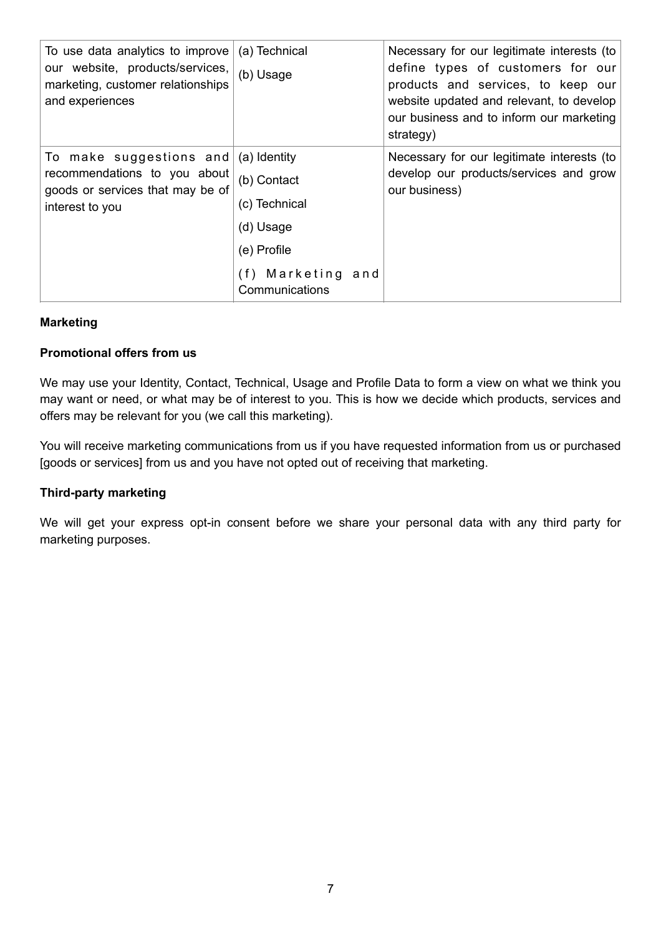| To use data analytics to improve<br>our website, products/services,<br>marketing, customer relationships<br>and experiences | (a) Technical<br>(b) Usage                                                                                      | Necessary for our legitimate interests (to<br>define types of customers for our<br>products and services, to keep our<br>website updated and relevant, to develop<br>our business and to inform our marketing<br>strategy) |
|-----------------------------------------------------------------------------------------------------------------------------|-----------------------------------------------------------------------------------------------------------------|----------------------------------------------------------------------------------------------------------------------------------------------------------------------------------------------------------------------------|
| To make suggestions and<br>recommendations to you about<br>goods or services that may be of<br>interest to you              | (a) Identity<br>(b) Contact<br>(c) Technical<br>(d) Usage<br>(e) Profile<br>(f) Marketing and<br>Communications | Necessary for our legitimate interests (to<br>develop our products/services and grow<br>our business)                                                                                                                      |

### **Marketing**

### **Promotional offers from us**

We may use your Identity, Contact, Technical, Usage and Profile Data to form a view on what we think you may want or need, or what may be of interest to you. This is how we decide which products, services and offers may be relevant for you (we call this marketing).

You will receive marketing communications from us if you have requested information from us or purchased [goods or services] from us and you have not opted out of receiving that marketing.

### **Third-party marketing**

We will get your express opt-in consent before we share your personal data with any third party for marketing purposes.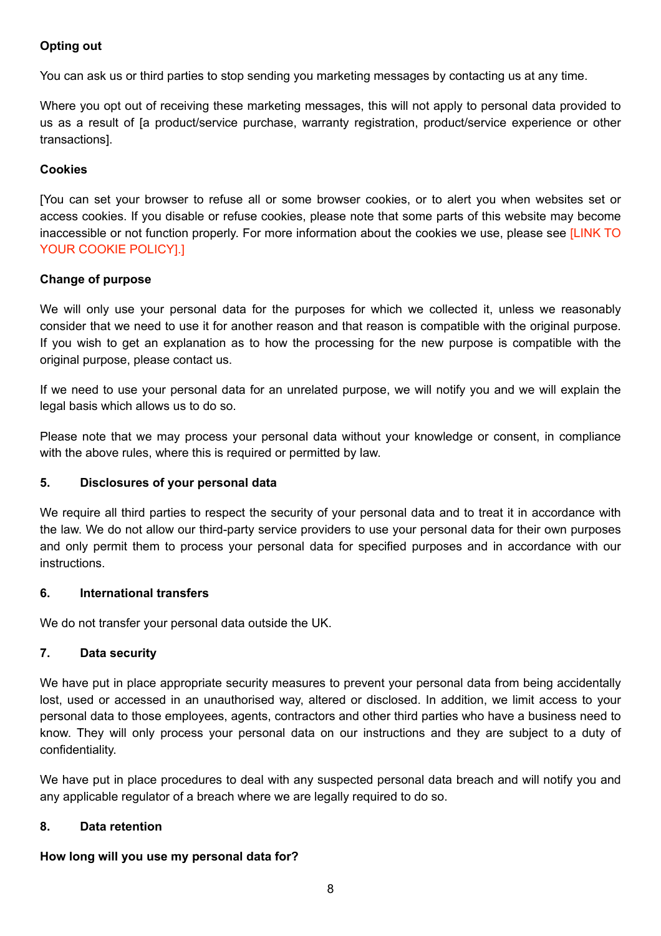# **Opting out**

You can ask us or third parties to stop sending you marketing messages by contacting us at any time.

Where you opt out of receiving these marketing messages, this will not apply to personal data provided to us as a result of [a product/service purchase, warranty registration, product/service experience or other transactions].

## **Cookies**

[You can set your browser to refuse all or some browser cookies, or to alert you when websites set or access cookies. If you disable or refuse cookies, please note that some parts of this website may become inaccessible or not function properly. For more information about the cookies we use, please see [LINK TO YOUR COOKIE POLICY **1.1** 

## **Change of purpose**

We will only use your personal data for the purposes for which we collected it, unless we reasonably consider that we need to use it for another reason and that reason is compatible with the original purpose. If you wish to get an explanation as to how the processing for the new purpose is compatible with the original purpose, please contact us.

If we need to use your personal data for an unrelated purpose, we will notify you and we will explain the legal basis which allows us to do so.

Please note that we may process your personal data without your knowledge or consent, in compliance with the above rules, where this is required or permitted by law.

### **5. Disclosures of your personal data**

We require all third parties to respect the security of your personal data and to treat it in accordance with the law. We do not allow our third-party service providers to use your personal data for their own purposes and only permit them to process your personal data for specified purposes and in accordance with our instructions.

### **6. International transfers**

We do not transfer your personal data outside the UK.

### **7. Data security**

We have put in place appropriate security measures to prevent your personal data from being accidentally lost, used or accessed in an unauthorised way, altered or disclosed. In addition, we limit access to your personal data to those employees, agents, contractors and other third parties who have a business need to know. They will only process your personal data on our instructions and they are subject to a duty of confidentiality.

We have put in place procedures to deal with any suspected personal data breach and will notify you and any applicable regulator of a breach where we are legally required to do so.

## **8. Data retention**

**How long will you use my personal data for?**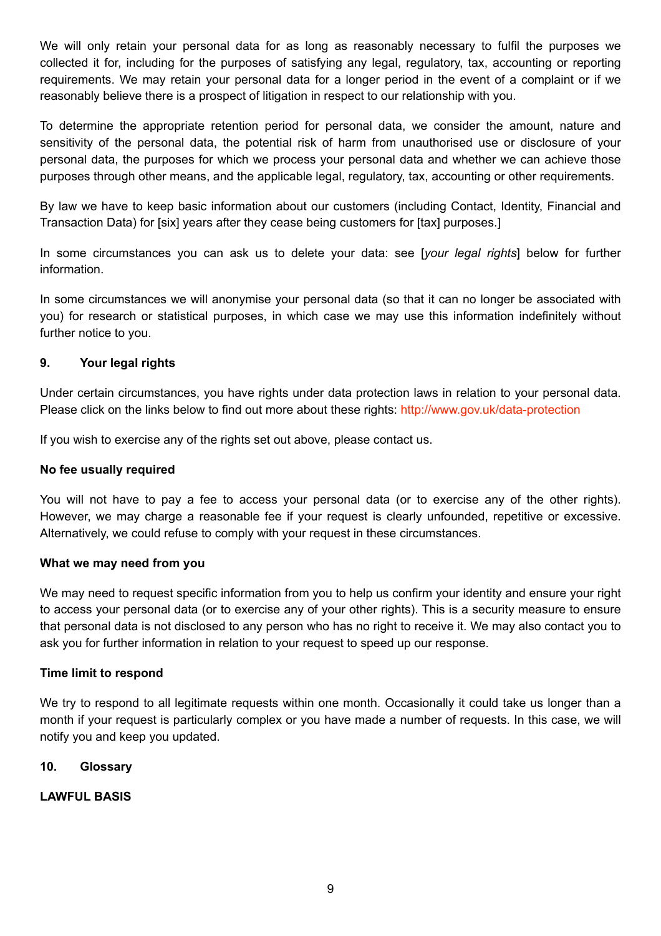We will only retain your personal data for as long as reasonably necessary to fulfil the purposes we collected it for, including for the purposes of satisfying any legal, regulatory, tax, accounting or reporting requirements. We may retain your personal data for a longer period in the event of a complaint or if we reasonably believe there is a prospect of litigation in respect to our relationship with you.

To determine the appropriate retention period for personal data, we consider the amount, nature and sensitivity of the personal data, the potential risk of harm from unauthorised use or disclosure of your personal data, the purposes for which we process your personal data and whether we can achieve those purposes through other means, and the applicable legal, regulatory, tax, accounting or other requirements.

By law we have to keep basic information about our customers (including Contact, Identity, Financial and Transaction Data) for [six] years after they cease being customers for [tax] purposes.]

In some circumstances you can ask us to delete your data: see [*your legal rights*] below for further information.

In some circumstances we will anonymise your personal data (so that it can no longer be associated with you) for research or statistical purposes, in which case we may use this information indefinitely without further notice to you.

## **9. Your legal rights**

Under certain circumstances, you have rights under data protection laws in relation to your personal data. Please click on the links below to find out more about these rights: http://www.gov.uk/data-protection

If you wish to exercise any of the rights set out above, please contact us.

### **No fee usually required**

You will not have to pay a fee to access your personal data (or to exercise any of the other rights). However, we may charge a reasonable fee if your request is clearly unfounded, repetitive or excessive. Alternatively, we could refuse to comply with your request in these circumstances.

### **What we may need from you**

We may need to request specific information from you to help us confirm your identity and ensure your right to access your personal data (or to exercise any of your other rights). This is a security measure to ensure that personal data is not disclosed to any person who has no right to receive it. We may also contact you to ask you for further information in relation to your request to speed up our response.

### **Time limit to respond**

We try to respond to all legitimate requests within one month. Occasionally it could take us longer than a month if your request is particularly complex or you have made a number of requests. In this case, we will notify you and keep you updated.

### **10. Glossary**

**LAWFUL BASIS**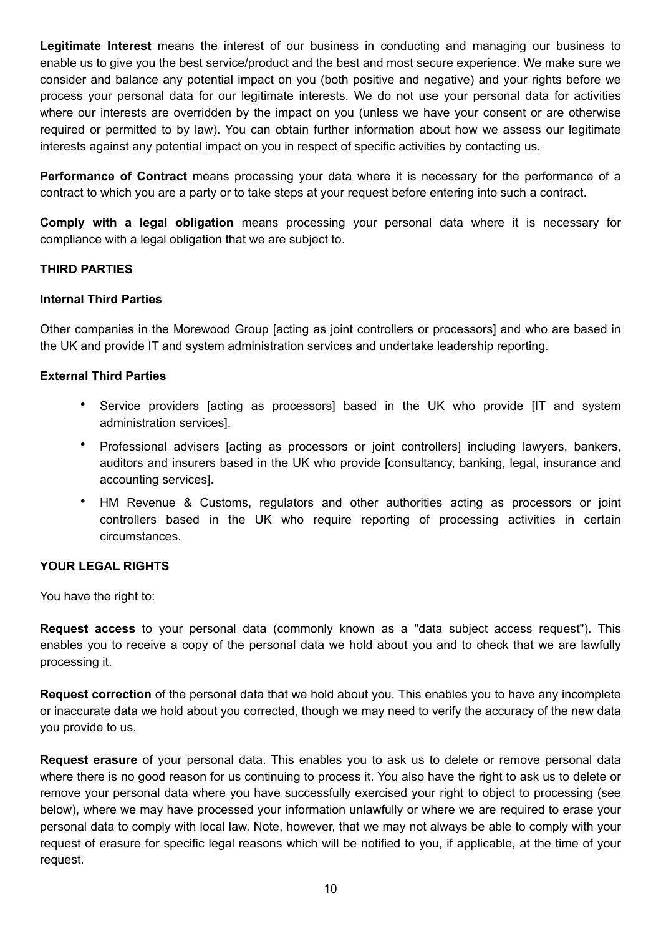**Legitimate Interest** means the interest of our business in conducting and managing our business to enable us to give you the best service/product and the best and most secure experience. We make sure we consider and balance any potential impact on you (both positive and negative) and your rights before we process your personal data for our legitimate interests. We do not use your personal data for activities where our interests are overridden by the impact on you (unless we have your consent or are otherwise required or permitted to by law). You can obtain further information about how we assess our legitimate interests against any potential impact on you in respect of specific activities by contacting us.

**Performance of Contract** means processing your data where it is necessary for the performance of a contract to which you are a party or to take steps at your request before entering into such a contract.

**Comply with a legal obligation** means processing your personal data where it is necessary for compliance with a legal obligation that we are subject to.

## **THIRD PARTIES**

## **Internal Third Parties**

Other companies in the Morewood Group [acting as joint controllers or processors] and who are based in the UK and provide IT and system administration services and undertake leadership reporting.

## **External Third Parties**

- Service providers [acting as processors] based in the UK who provide [IT and system administration services].
- Professional advisers [acting as processors or joint controllers] including lawyers, bankers, auditors and insurers based in the UK who provide [consultancy, banking, legal, insurance and accounting services].
- HM Revenue & Customs, regulators and other authorities acting as processors or joint controllers based in the UK who require reporting of processing activities in certain circumstances.

### **YOUR LEGAL RIGHTS**

You have the right to:

**Request access** to your personal data (commonly known as a "data subject access request"). This enables you to receive a copy of the personal data we hold about you and to check that we are lawfully processing it.

**Request correction** of the personal data that we hold about you. This enables you to have any incomplete or inaccurate data we hold about you corrected, though we may need to verify the accuracy of the new data you provide to us.

**Request erasure** of your personal data. This enables you to ask us to delete or remove personal data where there is no good reason for us continuing to process it. You also have the right to ask us to delete or remove your personal data where you have successfully exercised your right to object to processing (see below), where we may have processed your information unlawfully or where we are required to erase your personal data to comply with local law. Note, however, that we may not always be able to comply with your request of erasure for specific legal reasons which will be notified to you, if applicable, at the time of your request.